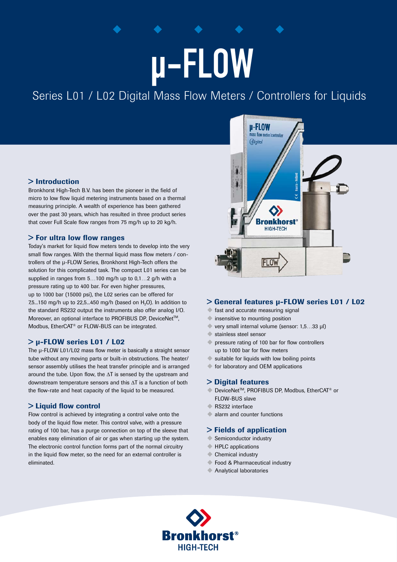# µ-FLOW

Series L01 / L02 Digital Mass Flow Meters / Controllers for Liquids

# > Introduction

Bronkhorst High-Tech B.V. has been the pioneer in the field of micro to low flow liquid metering instruments based on a thermal measuring principle. A wealth of experience has been gathered over the past 30 years, which has resulted in three product series that cover Full Scale flow ranges from 75 mg/h up to 20 kg/h.

# > For ultra low flow ranges

Today's market for liquid flow meters tends to develop into the very small flow ranges. With the thermal liquid mass flow meters / controllers of the μ-FLOW Series, Bronkhorst High-Tech offers the solution for this complicated task. The compact L01 series can be supplied in ranges from 5…100 mg/h up to 0,1…2 g/h with a pressure rating up to 400 bar. For even higher pressures, up to 1000 bar (15000 psi), the L02 series can be offered for 7,5...150 mg/h up to 22,5...450 mg/h (based on  $H_2O$ ). In addition to the standard RS232 output the instruments also offer analog I/O. Moreover, an optional interface to PROFIBUS DP, DeviceNet™. Modbus, EtherCAT® or FLOW-BUS can be integrated.

# > μ-FLOW series L01 / L02

The μ-FLOW L01/L02 mass flow meter is basically a straight sensor tube without any moving parts or built-in obstructions. The heater/ sensor assembly utilises the heat transfer principle and is arranged around the tube. Upon flow, the ΔT is sensed by the upstream and downstream temperature sensors and this ΔT is a function of both the flow-rate and heat capacity of the liquid to be measured.

#### > Liquid flow control

Flow control is achieved by integrating a control valve onto the body of the liquid flow meter. This control valve, with a pressure rating of 100 bar, has a purge connection on top of the sleeve that enables easy elimination of air or gas when starting up the system. The electronic control function forms part of the normal circuitry in the liquid flow meter, so the need for an external controller is eliminated.



#### > General features μ-FLOW series L01 / L02

- fast and accurate measuring signal
- insensitive to mounting position
- $\blacklozenge$  very small internal volume (sensor: 1.5...33 μl)
- $\bullet$  stainless steel sensor
- pressure rating of 100 bar for flow controllers up to 1000 bar for flow meters
- $\blacklozenge$  suitable for liquids with low boiling points
- $\blacklozenge$  for laboratory and OEM applications

#### > Digital features

- DeviceNet<sup>™</sup>, PROFIBUS DP, Modbus, EtherCAT<sup>®</sup> or FLOW-BUS slave
- RS232 interface
- $\bullet$  alarm and counter functions

## > Fields of application

- Semiconductor industry
- $\blacklozenge$  HPLC applications
- $\triangle$  Chemical industry
- Food & Pharmaceutical industry
- $\triangle$  Analytical laboratories